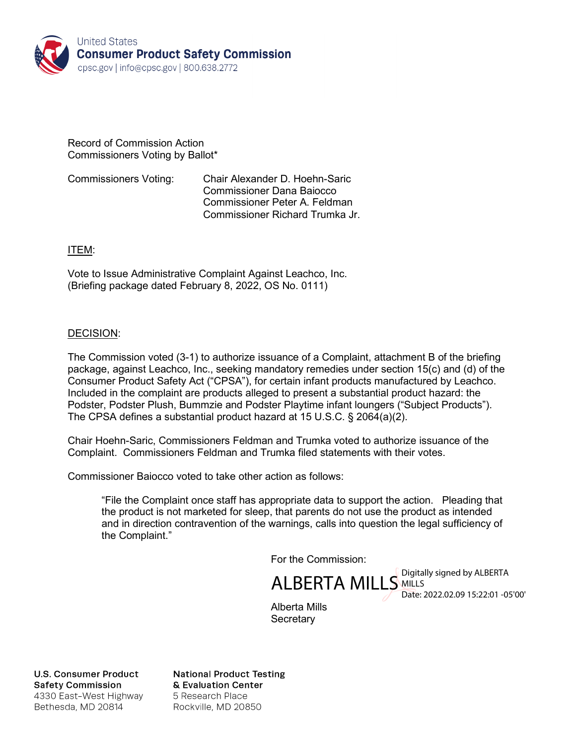

#### Record of Commission Action Commissioners Voting by Ballot\*

Commissioners Voting: Chair Alexander D. Hoehn-Saric Commissioner Dana Baiocco Commissioner Peter A. Feldman Commissioner Richard Trumka Jr.

## ITEM:

Vote to Issue Administrative Complaint Against Leachco, Inc. (Briefing package dated February 8, 2022, OS No. 0111)

## DECISION:

The Commission voted (3-1) to authorize issuance of a Complaint, attachment B of the briefing package, against Leachco, Inc., seeking mandatory remedies under section 15(c) and (d) of the Consumer Product Safety Act ("CPSA"), for certain infant products manufactured by Leachco. Included in the complaint are products alleged to present a substantial product hazard: the Podster, Podster Plush, Bummzie and Podster Playtime infant loungers ("Subject Products"). The CPSA defines a substantial product hazard at 15 U.S.C. § 2064(a)(2).

Chair Hoehn-Saric, Commissioners Feldman and Trumka voted to authorize issuance of the Complaint. Commissioners Feldman and Trumka filed statements with their votes.

Commissioner Baiocco voted to take other action as follows:

"File the Complaint once staff has appropriate data to support the action. Pleading that the product is not marketed for sleep, that parents do not use the product as intended and in direction contravention of the warnings, calls into question the legal sufficiency of the Complaint."

For the Commission:

ALBERTA MILLS MILLS MILLS MILLS MILLS **WILLS** Date: 2022.02.09 15:22:01 -05'00'

Alberta Mills **Secretary** 

**U.S. Consumer Product Safety Commission** 4330 East-West Highway Bethesda, MD 20814

**National Product Testing** & Evaluation Center 5 Research Place Rockville, MD 20850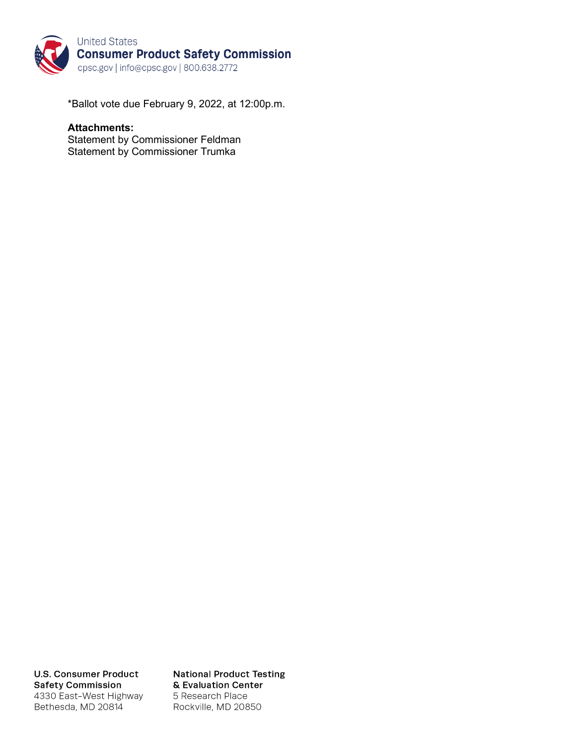

\*Ballot vote due February 9, 2022, at 12:00p.m.

### **Attachments:**

Statement by Commissioner Feldman Statement by Commissioner Trumka

**U.S. Consumer Product Safety Commission** 4330 East-West Highway Bethesda, MD 20814

**National Product Testing** & Evaluation Center 5 Research Place Rockville, MD 20850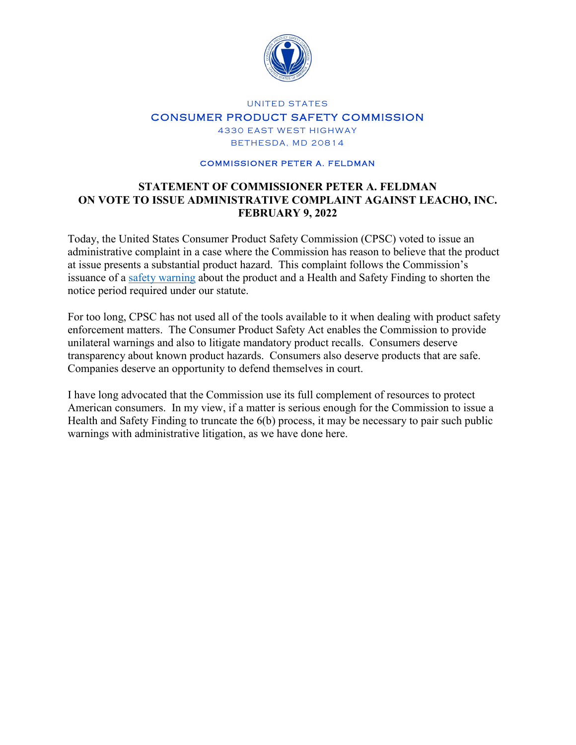

## UNITED STATES CONSUMER PRODUCT SAFETY COMMISSION 4330 EAST WEST HIGHWAY BETHESDA, MD 20814

#### COMMISSIONER PETER A. FELDMAN

## **STATEMENT OF COMMISSIONER PETER A. FELDMAN ON VOTE TO ISSUE ADMINISTRATIVE COMPLAINT AGAINST LEACHO, INC. FEBRUARY 9, 2022**

Today, the United States Consumer Product Safety Commission (CPSC) voted to issue an administrative complaint in a case where the Commission has reason to believe that the product at issue presents a substantial product hazard. This complaint follows the Commission's issuance of a [safety warning](https://www.cpsc.gov/Newsroom/News-Releases/2022/CPSC-Warns-Consumers-Stop-Using-the-Leachco-Podster-Podster-Plush-Bummzie-and-Podster-Playtime-Infant-Loungers-Due-to-Suffocation-Hazard-Two-Infant-Deaths-Investigated) about the product and a Health and Safety Finding to shorten the notice period required under our statute.

For too long, CPSC has not used all of the tools available to it when dealing with product safety enforcement matters. The Consumer Product Safety Act enables the Commission to provide unilateral warnings and also to litigate mandatory product recalls. Consumers deserve transparency about known product hazards. Consumers also deserve products that are safe. Companies deserve an opportunity to defend themselves in court.

I have long advocated that the Commission use its full complement of resources to protect American consumers. In my view, if a matter is serious enough for the Commission to issue a Health and Safety Finding to truncate the 6(b) process, it may be necessary to pair such public warnings with administrative litigation, as we have done here.